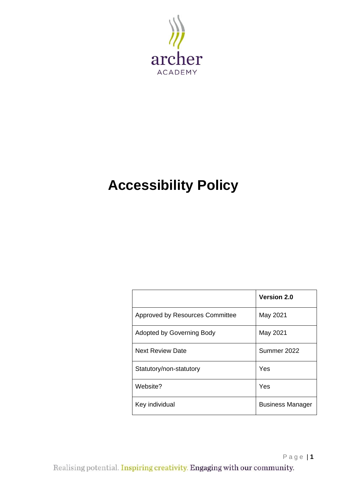

# **Accessibility Policy**

|                                 | <b>Version 2.0</b>      |
|---------------------------------|-------------------------|
| Approved by Resources Committee | May 2021                |
| Adopted by Governing Body       | May 2021                |
| <b>Next Review Date</b>         | Summer 2022             |
| Statutory/non-statutory         | Yes                     |
| Website?                        | Yes                     |
| Key individual                  | <b>Business Manager</b> |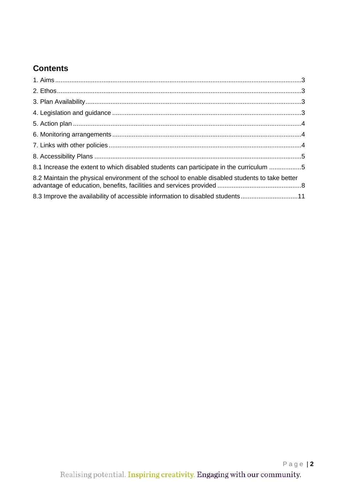# **Contents**

| 8.1 Increase the extent to which disabled students can participate in the curriculum 5         |  |
|------------------------------------------------------------------------------------------------|--|
| 8.2 Maintain the physical environment of the school to enable disabled students to take better |  |
| 8.3 Improve the availability of accessible information to disabled students11                  |  |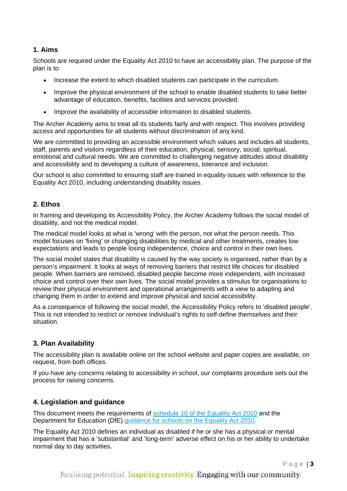#### **1. Aims**

Schools are required under the Equality Act 2010 to have an accessibility plan. The purpose of the plan is to:

- Increase the extent to which disabled students can participate in the curriculum.
- Improve the physical environment of the school to enable disabled students to take better advantage of education, benefits, facilities and services provided.
- Improve the availability of accessible information to disabled students.

The Archer Academy aims to treat all its students fairly and with respect. This involves providing access and opportunities for all students without discrimination of any kind.

We are committed to providing an accessible environment which values and includes all students, staff, parents and visitors regardless of their education, physical, sensory, social, spiritual, emotional and cultural needs. We are committed to challenging negative attitudes about disability and accessibility and to developing a culture of awareness, tolerance and inclusion.

Our school is also committed to ensuring staff are trained in equality issues with reference to the Equality Act 2010, including understanding disability issues.

#### **2. Ethos**

In framing and developing its Accessibility Policy, the Archer Academy follows the social model of disability, and not the medical model.

The medical model looks at what is 'wrong' with the person, not what the person needs. This model focuses on 'fixing' or changing disabilities by medical and other treatments, creates low expectations and leads to people losing independence, choice and control in their own lives.

The social model states that disability is caused by the way society is organised, rather than by a person's impairment. It looks at ways of removing barriers that restrict life choices for disabled people. When barriers are removed, disabled people become more independent, with increased choice and control over their own lives. The social model provides a stimulus for organisations to review their physical environment and operational arrangements with a view to adapting and changing them in order to extend and improve physical and social accessibility.

As a consequence of following the social model, the Accessibility Policy refers to 'disabled people'. This is not intended to restrict or remove individual's rights to self-define themselves and their situation.

#### **3. Plan Availability**

The accessibility plan is available online on the school website and paper copies are available, on request, from both offices.

If you have any concerns relating to accessibility in school, our complaints procedure sets out the process for raising concerns.

#### **4. Legislation and guidance**

This document meets the requirements of [schedule 10 of the Equality Act 2010](http://www.legislation.gov.uk/ukpga/2010/15/schedule/10) and the Department for Education (DfE) [guidance for schools on the Equality Act](https://www.gov.uk/government/publications/equality-act-2010-advice-for-schools) 2010.

The Equality Act 2010 defines an individual as disabled if he or she has a physical or mental impairment that has a 'substantial' and 'long-term' adverse effect on his or her ability to undertake normal day to day activities.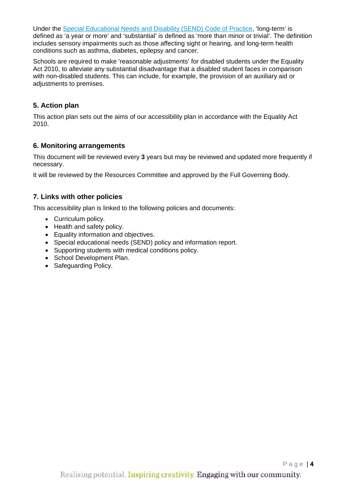Under the [Special Educational Needs and Disability \(SEND\) Code of Practice,](https://www.gov.uk/government/publications/send-code-of-practice-0-to-25) 'long-term' is defined as 'a year or more' and 'substantial' is defined as 'more than minor or trivial'. The definition includes sensory impairments such as those affecting sight or hearing, and long-term health conditions such as asthma, diabetes, epilepsy and cancer.

Schools are required to make 'reasonable adjustments' for disabled students under the Equality Act 2010, to alleviate any substantial disadvantage that a disabled student faces in comparison with non-disabled students. This can include, for example, the provision of an auxiliary aid or adjustments to premises.

#### **5. Action plan**

This action plan sets out the aims of our accessibility plan in accordance with the Equality Act 2010.

#### **6. Monitoring arrangements**

This document will be reviewed every **3** years but may be reviewed and updated more frequently if necessary.

It will be reviewed by the Resources Committee and approved by the Full Governing Body.

#### **7. Links with other policies**

This accessibility plan is linked to the following policies and documents:

- Curriculum policy.
- Health and safety policy.
- Equality information and objectives.
- Special educational needs (SEND) policy and information report.
- Supporting students with medical conditions policy.
- School Development Plan.
- Safeguarding Policy.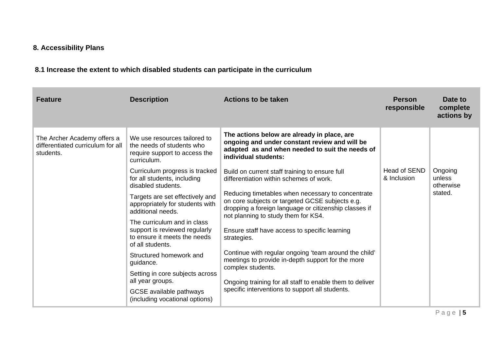## **8. Accessibility Plans**

# **8.1 Increase the extent to which disabled students can participate in the curriculum**

| Feature                                                                       | <b>Description</b>                                                                                               | <b>Actions to be taken</b>                                                                                                                                                                           | <b>Person</b><br>responsible | Date to<br>complete<br>actions by |
|-------------------------------------------------------------------------------|------------------------------------------------------------------------------------------------------------------|------------------------------------------------------------------------------------------------------------------------------------------------------------------------------------------------------|------------------------------|-----------------------------------|
| The Archer Academy offers a<br>differentiated curriculum for all<br>students. | We use resources tailored to<br>the needs of students who<br>require support to access the<br>curriculum.        | The actions below are already in place, are<br>ongoing and under constant review and will be<br>adapted as and when needed to suit the needs of<br>individual students:                              |                              |                                   |
|                                                                               | Curriculum progress is tracked<br>for all students, including<br>disabled students.                              | Build on current staff training to ensure full<br>differentiation within schemes of work.                                                                                                            | Head of SEND<br>& Inclusion  | Ongoing<br>unless<br>otherwise    |
|                                                                               | Targets are set effectively and<br>appropriately for students with<br>additional needs.                          | Reducing timetables when necessary to concentrate<br>on core subjects or targeted GCSE subjects e.g.<br>dropping a foreign language or citizenship classes if<br>not planning to study them for KS4. |                              | stated.                           |
|                                                                               | The curriculum and in class<br>support is reviewed regularly<br>to ensure it meets the needs<br>of all students. | Ensure staff have access to specific learning<br>strategies.                                                                                                                                         |                              |                                   |
|                                                                               | Structured homework and<br>guidance.                                                                             | Continue with regular ongoing 'team around the child'<br>meetings to provide in-depth support for the more<br>complex students.                                                                      |                              |                                   |
|                                                                               | Setting in core subjects across<br>all year groups.                                                              | Ongoing training for all staff to enable them to deliver                                                                                                                                             |                              |                                   |
|                                                                               | GCSE available pathways<br>(including vocational options)                                                        | specific interventions to support all students.                                                                                                                                                      |                              |                                   |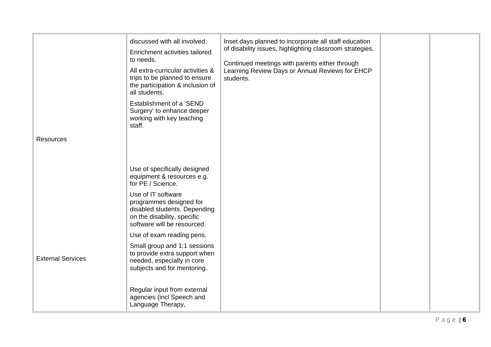| <b>Resources</b>         | discussed with all involved.<br>Enrichment activities tailored<br>to needs.<br>All extra-curricular activities &<br>trips to be planned to ensure<br>the participation & inclusion of<br>all students.<br>Establishment of a 'SEND<br>Surgery' to enhance deeper<br>working with key teaching<br>staff. | Inset days planned to incorporate all staff education<br>of disability issues, highlighting classroom strategies.<br>Continued meetings with parents either through<br>Learning Review Days or Annual Reviews for EHCP<br>students. |  |
|--------------------------|---------------------------------------------------------------------------------------------------------------------------------------------------------------------------------------------------------------------------------------------------------------------------------------------------------|-------------------------------------------------------------------------------------------------------------------------------------------------------------------------------------------------------------------------------------|--|
|                          | Use of specifically designed<br>equipment & resources e.g.<br>for PE / Science.<br>Use of IT software<br>programmes designed for<br>disabled students. Depending<br>on the disability, specific<br>software will be resourced.                                                                          |                                                                                                                                                                                                                                     |  |
| <b>External Services</b> | Use of exam reading pens.<br>Small group and 1:1 sessions<br>to provide extra support when<br>needed, especially in core<br>subjects and for mentoring.<br>Regular input from external<br>agencies (incl Speech and<br>Language Therapy,                                                                |                                                                                                                                                                                                                                     |  |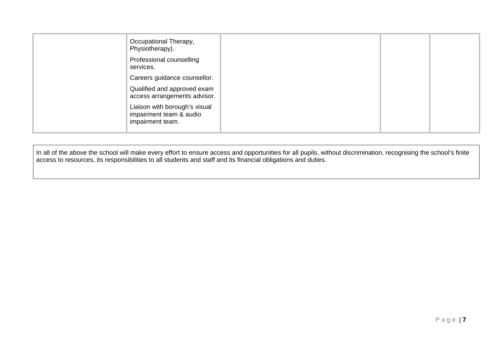| Occupational Therapy,<br>Physiotherapy).                                     |  |
|------------------------------------------------------------------------------|--|
| Professional counselling<br>services.                                        |  |
| Careers guidance counsellor.                                                 |  |
| Qualified and approved exam<br>access arrangements advisor.                  |  |
| Liaison with borough's visual<br>impairment team & audio<br>impairment team. |  |

In all of the above the school will make every effort to ensure access and opportunities for all pupils, without discrimination, recognising the school's finite access to resources, its responsibilities to all students and staff and its financial obligations and duties.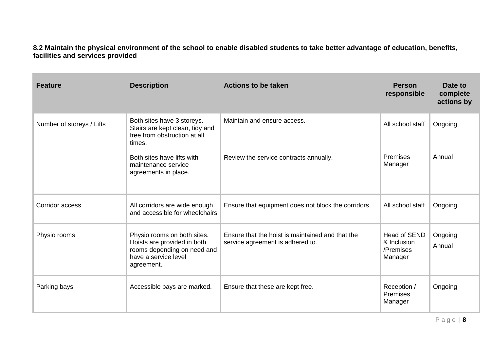**8.2 Maintain the physical environment of the school to enable disabled students to take better advantage of education, benefits, facilities and services provided**

| <b>Feature</b>            | <b>Description</b>                                                                                                              | <b>Actions to be taken</b>                                                           | <b>Person</b><br>responsible                               | Date to<br>complete<br>actions by |
|---------------------------|---------------------------------------------------------------------------------------------------------------------------------|--------------------------------------------------------------------------------------|------------------------------------------------------------|-----------------------------------|
| Number of storeys / Lifts | Both sites have 3 storeys.<br>Stairs are kept clean, tidy and<br>free from obstruction at all<br>times.                         | Maintain and ensure access.                                                          | All school staff                                           | Ongoing                           |
|                           | Both sites have lifts with<br>maintenance service<br>agreements in place.                                                       | Review the service contracts annually.                                               | Premises<br>Manager                                        | Annual                            |
| Corridor access           | All corridors are wide enough<br>and accessible for wheelchairs                                                                 | Ensure that equipment does not block the corridors.                                  | All school staff                                           | Ongoing                           |
| Physio rooms              | Physio rooms on both sites.<br>Hoists are provided in both<br>rooms depending on need and<br>have a service level<br>agreement. | Ensure that the hoist is maintained and that the<br>service agreement is adhered to. | <b>Head of SEND</b><br>& Inclusion<br>/Premises<br>Manager | Ongoing<br>Annual                 |
| Parking bays              | Accessible bays are marked.                                                                                                     | Ensure that these are kept free.                                                     | Reception /<br>Premises<br>Manager                         | Ongoing                           |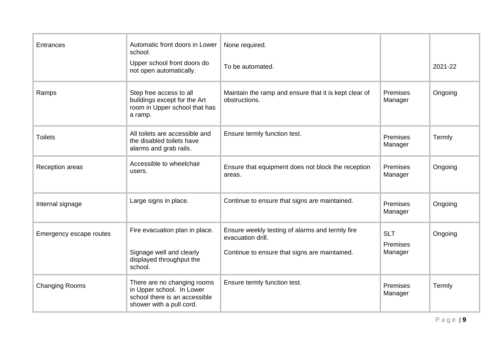| Entrances               | Automatic front doors in Lower<br>school.                                                                             | None required.                                                                                                        |                                   |         |
|-------------------------|-----------------------------------------------------------------------------------------------------------------------|-----------------------------------------------------------------------------------------------------------------------|-----------------------------------|---------|
|                         | Upper school front doors do<br>not open automatically.                                                                | To be automated.                                                                                                      |                                   | 2021-22 |
| Ramps                   | Step free access to all<br>buildings except for the Art<br>room in Upper school that has<br>a ramp.                   | Maintain the ramp and ensure that it is kept clear of<br>obstructions.                                                | Premises<br>Manager               | Ongoing |
| <b>Toilets</b>          | All toilets are accessible and<br>the disabled toilets have<br>alarms and grab rails.                                 | Ensure termly function test.                                                                                          | Premises<br>Manager               | Termly  |
| Reception areas         | Accessible to wheelchair<br>users.                                                                                    | Ensure that equipment does not block the reception<br>areas.                                                          | Premises<br>Manager               | Ongoing |
| Internal signage        | Large signs in place.                                                                                                 | Continue to ensure that signs are maintained.                                                                         | Premises<br>Manager               | Ongoing |
| Emergency escape routes | Fire evacuation plan in place.<br>Signage well and clearly<br>displayed throughput the<br>school.                     | Ensure weekly testing of alarms and termly fire<br>evacuation drill.<br>Continue to ensure that signs are maintained. | <b>SLT</b><br>Premises<br>Manager | Ongoing |
| <b>Changing Rooms</b>   | There are no changing rooms<br>in Upper school. In Lower<br>school there is an accessible<br>shower with a pull cord. | Ensure termly function test.                                                                                          | Premises<br>Manager               | Termly  |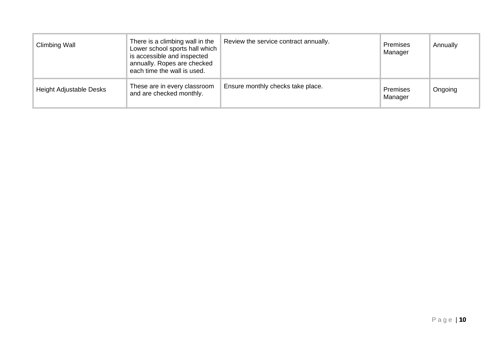| Climbing Wall           | There is a climbing wall in the<br>Lower school sports hall which<br>is accessible and inspected<br>annually. Ropes are checked<br>each time the wall is used. | Review the service contract annually. | <b>Premises</b><br>Manager | Annually |
|-------------------------|----------------------------------------------------------------------------------------------------------------------------------------------------------------|---------------------------------------|----------------------------|----------|
| Height Adjustable Desks | These are in every classroom<br>and are checked monthly.                                                                                                       | Ensure monthly checks take place.     | <b>Premises</b><br>Manager | Ongoing  |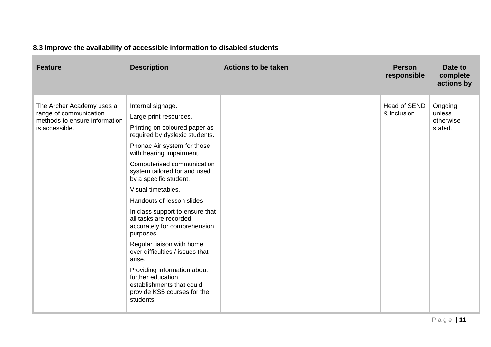## **8.3 Improve the availability of accessible information to disabled students**

| <b>Feature</b>                                                                                         | <b>Description</b>                                                                                                                                                                                                                                                                                                                                                                                                                                                                                                                                                                                                                     | <b>Actions to be taken</b> | <b>Person</b><br>responsible | Date to<br>complete<br>actions by         |
|--------------------------------------------------------------------------------------------------------|----------------------------------------------------------------------------------------------------------------------------------------------------------------------------------------------------------------------------------------------------------------------------------------------------------------------------------------------------------------------------------------------------------------------------------------------------------------------------------------------------------------------------------------------------------------------------------------------------------------------------------------|----------------------------|------------------------------|-------------------------------------------|
| The Archer Academy uses a<br>range of communication<br>methods to ensure information<br>is accessible. | Internal signage.<br>Large print resources.<br>Printing on coloured paper as<br>required by dyslexic students.<br>Phonac Air system for those<br>with hearing impairment.<br>Computerised communication<br>system tailored for and used<br>by a specific student.<br>Visual timetables.<br>Handouts of lesson slides.<br>In class support to ensure that<br>all tasks are recorded<br>accurately for comprehension<br>purposes.<br>Regular liaison with home<br>over difficulties / issues that<br>arise.<br>Providing information about<br>further education<br>establishments that could<br>provide KS5 courses for the<br>students. |                            | Head of SEND<br>& Inclusion  | Ongoing<br>unless<br>otherwise<br>stated. |